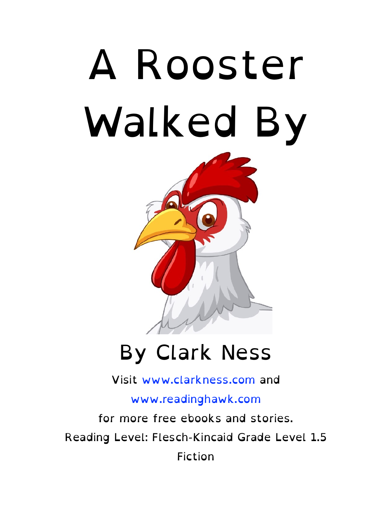



#### By Clark Ness

Visit [www.clarkness.com](http://www.clarkness.com) and

[www.readinghawk.com](http://www.readinghawk.com)

for more free ebooks and stories. Reading Level: Flesch-Kincaid Grade Level 1.5 Fiction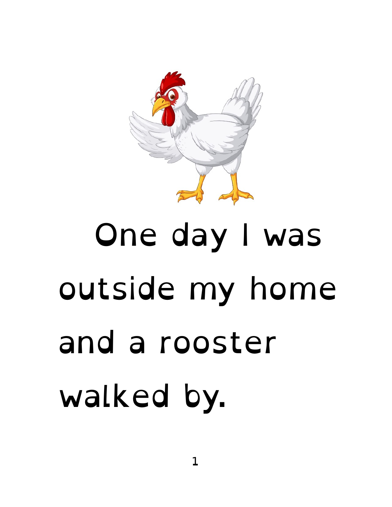

# One day I was outside my home and a rooster walked by.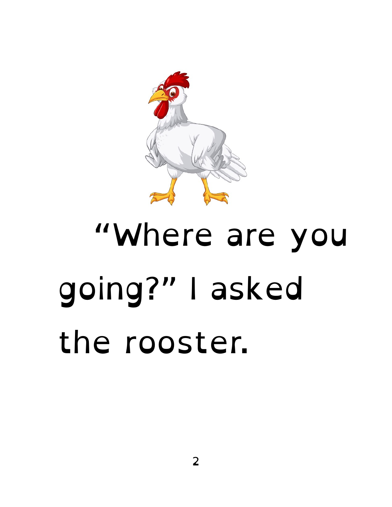

#### "Where are you going?" I asked the rooster.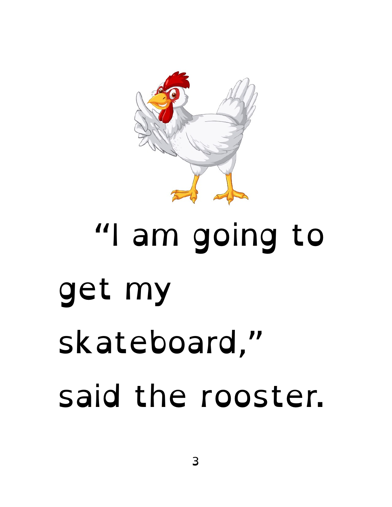

## "I am going to get my skateboard," said the rooster.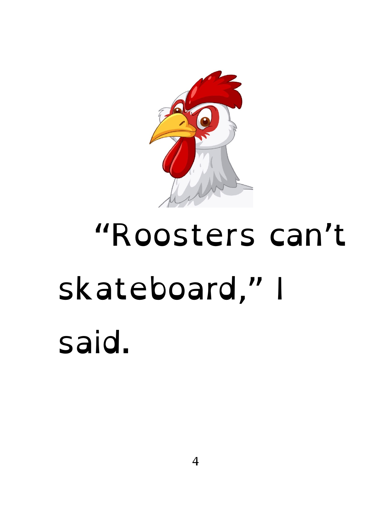

#### "Roosters can't skateboard," I said.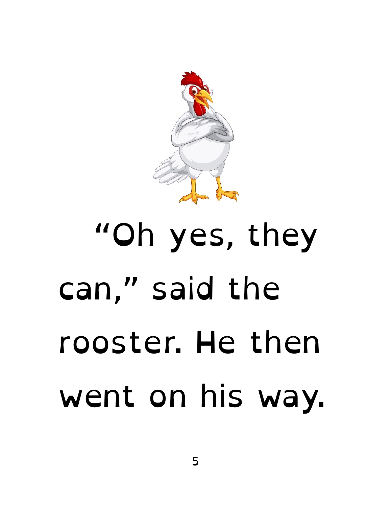

## "Oh yes, they can," said the rooster. He then went on his way.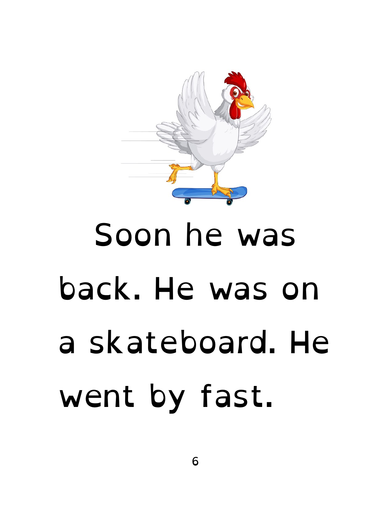

## Soon he was back. He was on a skateboard. He went by fast.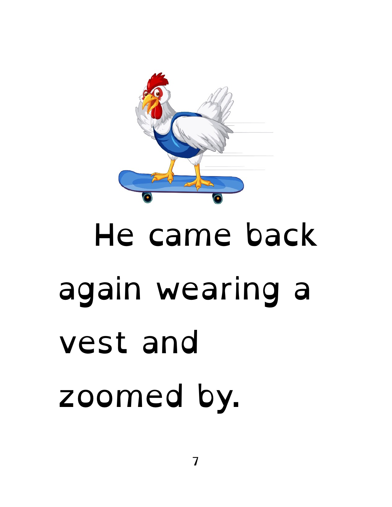

# He came back again wearing a vest and zoomed by.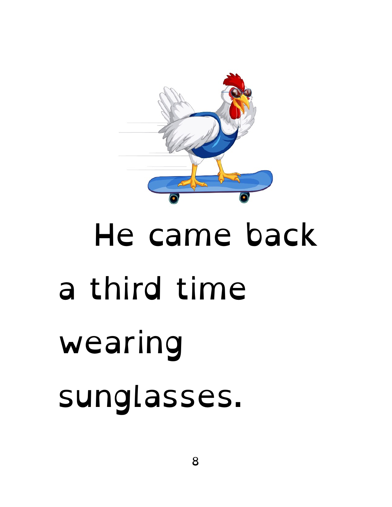

# He came back a third time wearing sunglasses.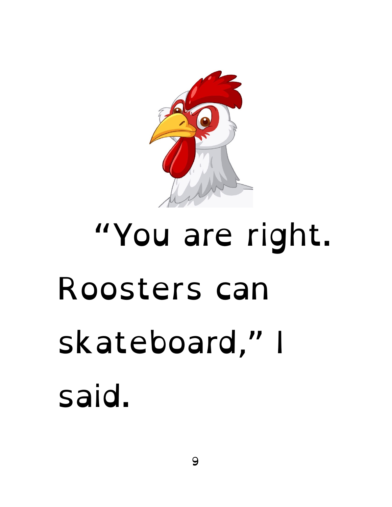

# "You are right. Roosters can skateboard," I said.